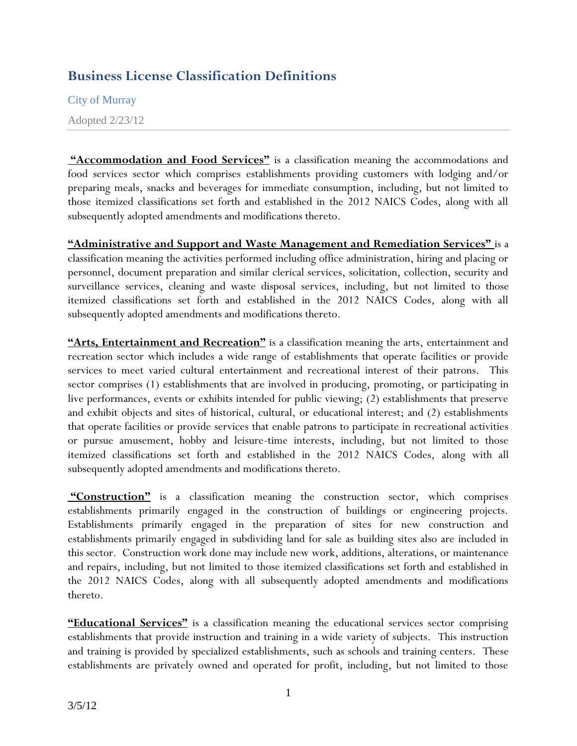## **Business License Classification Definitions**

City of Murray

Adopted 2/23/12

**"Accommodation and Food Services"** is a classification meaning the accommodations and food services sector which comprises establishments providing customers with lodging and/or preparing meals, snacks and beverages for immediate consumption, including, but not limited to those itemized classifications set forth and established in the 2012 NAICS Codes, along with all subsequently adopted amendments and modifications thereto.

**"Administrative and Support and Waste Management and Remediation Services"** is a classification meaning the activities performed including office administration, hiring and placing or personnel, document preparation and similar clerical services, solicitation, collection, security and surveillance services, cleaning and waste disposal services, including, but not limited to those itemized classifications set forth and established in the 2012 NAICS Codes, along with all subsequently adopted amendments and modifications thereto.

**"Arts, Entertainment and Recreation"** is a classification meaning the arts, entertainment and recreation sector which includes a wide range of establishments that operate facilities or provide services to meet varied cultural entertainment and recreational interest of their patrons. This sector comprises (1) establishments that are involved in producing, promoting, or participating in live performances, events or exhibits intended for public viewing; (2) establishments that preserve and exhibit objects and sites of historical, cultural, or educational interest; and (2) establishments that operate facilities or provide services that enable patrons to participate in recreational activities or pursue amusement, hobby and leisure-time interests, including, but not limited to those itemized classifications set forth and established in the 2012 NAICS Codes, along with all subsequently adopted amendments and modifications thereto.

**"Construction"** is a classification meaning the construction sector, which comprises establishments primarily engaged in the construction of buildings or engineering projects. Establishments primarily engaged in the preparation of sites for new construction and establishments primarily engaged in subdividing land for sale as building sites also are included in this sector. Construction work done may include new work, additions, alterations, or maintenance and repairs, including, but not limited to those itemized classifications set forth and established in the 2012 NAICS Codes, along with all subsequently adopted amendments and modifications thereto.

**"Educational Services"** is a classification meaning the educational services sector comprising establishments that provide instruction and training in a wide variety of subjects. This instruction and training is provided by specialized establishments, such as schools and training centers. These establishments are privately owned and operated for profit, including, but not limited to those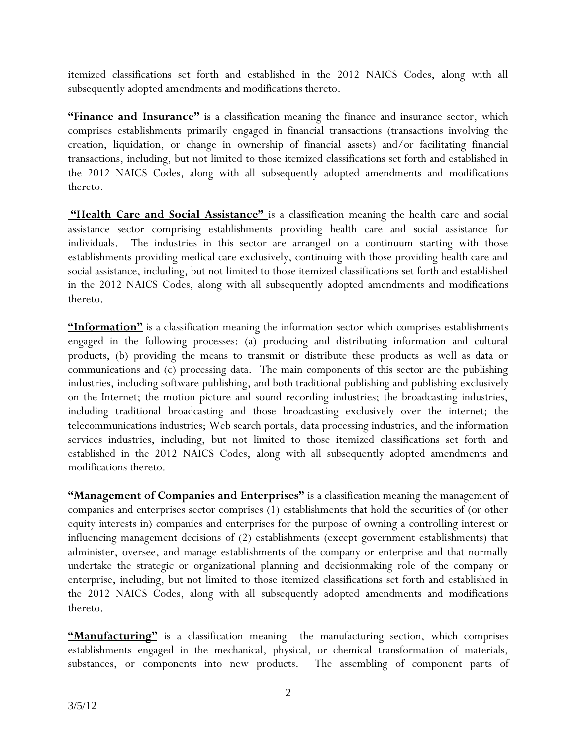itemized classifications set forth and established in the 2012 NAICS Codes, along with all subsequently adopted amendments and modifications thereto.

**"Finance and Insurance"** is a classification meaning the finance and insurance sector, which comprises establishments primarily engaged in financial transactions (transactions involving the creation, liquidation, or change in ownership of financial assets) and/or facilitating financial transactions, including, but not limited to those itemized classifications set forth and established in the 2012 NAICS Codes, along with all subsequently adopted amendments and modifications thereto.

"Health Care and Social Assistance" is a classification meaning the health care and social assistance sector comprising establishments providing health care and social assistance for individuals. The industries in this sector are arranged on a continuum starting with those establishments providing medical care exclusively, continuing with those providing health care and social assistance, including, but not limited to those itemized classifications set forth and established in the 2012 NAICS Codes, along with all subsequently adopted amendments and modifications thereto.

**"Information"** is a classification meaning the information sector which comprises establishments engaged in the following processes: (a) producing and distributing information and cultural products, (b) providing the means to transmit or distribute these products as well as data or communications and (c) processing data. The main components of this sector are the publishing industries, including software publishing, and both traditional publishing and publishing exclusively on the Internet; the motion picture and sound recording industries; the broadcasting industries, including traditional broadcasting and those broadcasting exclusively over the internet; the telecommunications industries; Web search portals, data processing industries, and the information services industries, including, but not limited to those itemized classifications set forth and established in the 2012 NAICS Codes, along with all subsequently adopted amendments and modifications thereto.

**"Management of Companies and Enterprises"** is a classification meaning the management of companies and enterprises sector comprises (1) establishments that hold the securities of (or other equity interests in) companies and enterprises for the purpose of owning a controlling interest or influencing management decisions of (2) establishments (except government establishments) that administer, oversee, and manage establishments of the company or enterprise and that normally undertake the strategic or organizational planning and decisionmaking role of the company or enterprise, including, but not limited to those itemized classifications set forth and established in the 2012 NAICS Codes, along with all subsequently adopted amendments and modifications thereto.

**"Manufacturing"** is a classification meaning the manufacturing section, which comprises establishments engaged in the mechanical, physical, or chemical transformation of materials, substances, or components into new products. The assembling of component parts of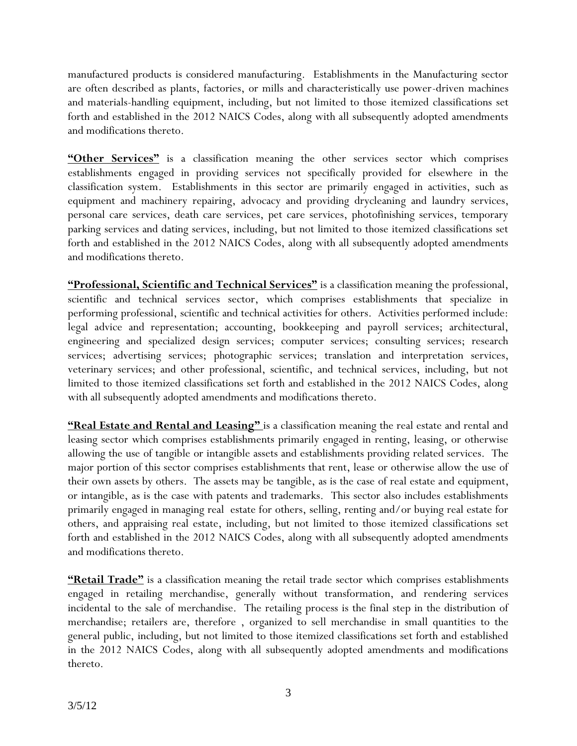manufactured products is considered manufacturing. Establishments in the Manufacturing sector are often described as plants, factories, or mills and characteristically use power-driven machines and materials-handling equipment, including, but not limited to those itemized classifications set forth and established in the 2012 NAICS Codes, along with all subsequently adopted amendments and modifications thereto.

"Other Services" is a classification meaning the other services sector which comprises establishments engaged in providing services not specifically provided for elsewhere in the classification system. Establishments in this sector are primarily engaged in activities, such as equipment and machinery repairing, advocacy and providing drycleaning and laundry services, personal care services, death care services, pet care services, photofinishing services, temporary parking services and dating services, including, but not limited to those itemized classifications set forth and established in the 2012 NAICS Codes, along with all subsequently adopted amendments and modifications thereto.

**"Professional, Scientific and Technical Services"** is a classification meaning the professional, scientific and technical services sector, which comprises establishments that specialize in performing professional, scientific and technical activities for others. Activities performed include: legal advice and representation; accounting, bookkeeping and payroll services; architectural, engineering and specialized design services; computer services; consulting services; research services; advertising services; photographic services; translation and interpretation services, veterinary services; and other professional, scientific, and technical services, including, but not limited to those itemized classifications set forth and established in the 2012 NAICS Codes, along with all subsequently adopted amendments and modifications thereto.

**"Real Estate and Rental and Leasing"** is a classification meaning the real estate and rental and leasing sector which comprises establishments primarily engaged in renting, leasing, or otherwise allowing the use of tangible or intangible assets and establishments providing related services. The major portion of this sector comprises establishments that rent, lease or otherwise allow the use of their own assets by others. The assets may be tangible, as is the case of real estate and equipment, or intangible, as is the case with patents and trademarks. This sector also includes establishments primarily engaged in managing real estate for others, selling, renting and/or buying real estate for others, and appraising real estate, including, but not limited to those itemized classifications set forth and established in the 2012 NAICS Codes, along with all subsequently adopted amendments and modifications thereto.

**"Retail Trade"** is a classification meaning the retail trade sector which comprises establishments engaged in retailing merchandise, generally without transformation, and rendering services incidental to the sale of merchandise. The retailing process is the final step in the distribution of merchandise; retailers are, therefore , organized to sell merchandise in small quantities to the general public, including, but not limited to those itemized classifications set forth and established in the 2012 NAICS Codes, along with all subsequently adopted amendments and modifications thereto.